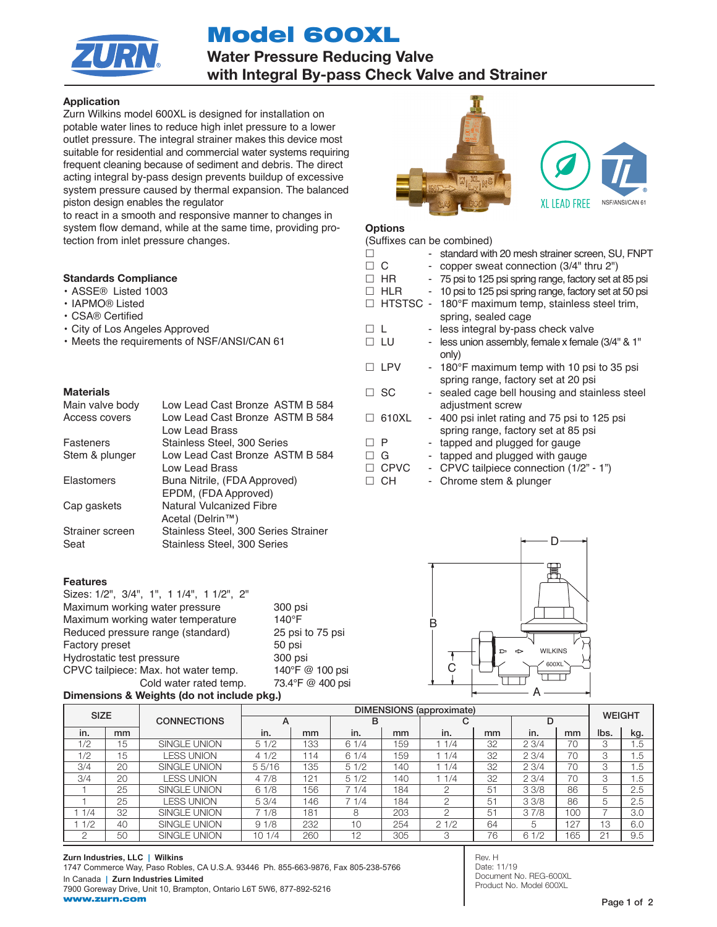# Model 600XL



Water Pressure Reducing Valve with Integral By-pass Check Valve and Strainer

# Application

Zurn Wilkins model 600XL is designed for installation on potable water lines to reduce high inlet pressure to a lower outlet pressure. The integral strainer makes this device most suitable for residential and commercial water systems requiring frequent cleaning because of sediment and debris. The direct acting integral by-pass design prevents buildup of excessive system pressure caused by thermal expansion. The balanced piston design enables the regulator

to react in a smooth and responsive manner to changes in system flow demand, while at the same time, providing protection from inlet pressure changes.

# Standards Compliance

- ASSE® Listed 1003
- IAPMO® Listed
- CSA® Certified
- City of Los Angeles Approved
- Meets the requirements of NSF/ANSI/CAN 61

## **Materials**

| Low Lead Cast Bronze ASTM B 584<br>Low Lead Cast Bronze ASTM B 584  |
|---------------------------------------------------------------------|
| Low Lead Brass                                                      |
| Stainless Steel, 300 Series                                         |
| Low Lead Cast Bronze ASTM B 584                                     |
| Low Lead Brass                                                      |
| Buna Nitrile, (FDA Approved)                                        |
| EPDM, (FDA Approved)                                                |
| Natural Vulcanized Fibre                                            |
| Acetal (Delrin™)                                                    |
| Stainless Steel, 300 Series Strainer<br>Stainless Steel, 300 Series |
|                                                                     |

#### Features

| Sizes: 1/2", 3/4", 1", 1 1/4", 1 1/2", 2" |                  |
|-------------------------------------------|------------------|
| Maximum working water pressure            | 300 psi          |
| Maximum working water temperature         | $140^{\circ}$ F  |
| Reduced pressure range (standard)         | 25 psi to 75 psi |
| <b>Factory preset</b>                     | 50 psi           |
| Hydrostatic test pressure                 | 300 psi          |
| CPVC tailpiece: Max. hot water temp.      | 140°F @ 100 psi  |
| Cold water rated temp.                    | 73.4°F @ 400 psi |

# Dimensions & Weights (do not include pkg.)



# **Options**

|            |             |   | (Suffixes can be combined)                              |
|------------|-------------|---|---------------------------------------------------------|
| п          |             |   | - standard with 20 mesh strainer screen, SU, FNPT       |
| $\Box$ $C$ |             |   | copper sweat connection (3/4" thru 2")                  |
| $\perp$    | HR          |   | - 75 psi to 125 psi spring range, factory set at 85 psi |
| п          | <b>HLR</b>  |   | - 10 psi to 125 psi spring range, factory set at 50 psi |
| П          |             |   | HTSTSC - 180°F maximum temp, stainless steel trim,      |
|            |             |   | spring, sealed cage                                     |
| ПL         |             |   | - less integral by-pass check valve                     |
|            | $\Box$ LU   |   | - less union assembly, female x female (3/4" & 1"       |
|            |             |   | only)                                                   |
|            | $\Box$ LPV  |   | - 180°F maximum temp with 10 psi to 35 psi              |
|            |             |   | spring range, factory set at 20 psi                     |
|            | $\Box$ SC   |   | - sealed cage bell housing and stainless steel          |
|            |             |   | adjustment screw                                        |
| $\perp$    | 610XL       |   | - 400 psi inlet rating and 75 psi to 125 psi            |
|            |             |   | spring range, factory set at 85 psi                     |
| □P         |             |   | - tapped and plugged for gauge                          |
| П          | G           |   | tapped and plugged with gauge                           |
|            | $\Box$ CPVC | ۰ | CPVC tailpiece connection (1/2" - 1")                   |
|            | □СН         |   | Chrome stem & plunger                                   |



| <b>SIZE</b> |    |                     | <b>DIMENSIONS</b> (approximate) |     |      |     |      |    |       | <b>WEIGHT</b> |      |     |
|-------------|----|---------------------|---------------------------------|-----|------|-----|------|----|-------|---------------|------|-----|
|             |    | <b>CONNECTIONS</b>  | A                               |     | в    |     | C    |    | D     |               |      |     |
| in.         | mm |                     | in.                             | mm  | in.  | mm  | in.  | mm | in.   | mm            | Ibs. | kg. |
| 1/2         | 15 | <b>SINGLE UNION</b> | 51/2                            | 133 | 61/4 | 159 | 1/4  | 32 | 23/4  | 70            | 3    | 1.5 |
| 1/2         | 15 | <b>ESS UNION</b>    | 41/2                            | '14 | 61/4 | 159 | 1/4  | 32 | 23/4  | 70            | 3    | 1.5 |
| 3/4         | 20 | <b>SINGLE UNION</b> | 55/16                           | 135 | 51/2 | 140 | 1/4  | 32 | 23/4  | 70            | 3    | 1.5 |
| 3/4         | 20 | LESS UNION          | 47/8                            | 121 | 51/2 | 140 | 1/4  | 32 | 23/4  | 70            | 3    | 1.5 |
|             | 25 | <b>SINGLE UNION</b> | 61/8                            | 156 | 71/4 | 184 |      | 51 | 3.3/8 | 86            | 5    | 2.5 |
|             | 25 | LESS UNION          | 5.3/4                           | 146 | 71/4 | 184 | ∩    | 51 | 33/8  | 86            | 5    | 2.5 |
| 1/4         | 32 | <b>SINGLE UNION</b> | 7 1/8                           | 181 | 8    | 203 | ∩    | 51 | 37/8  | 100           |      | 3.0 |
| 1/2         | 40 | <b>SINGLE UNION</b> | 91/8                            | 232 | 10   | 254 | 21/2 | 64 | 5     | 127           | 13   | 6.0 |
| $\cap$      | 50 | <b>SINGLE UNION</b> | 10 1/4                          | 260 | 12   | 305 | 3    | 76 | 61/2  | 165           | 21   | 9.5 |

Rev. H Date: 11/19 Document No. REG-600XL Product No. Model 600XL